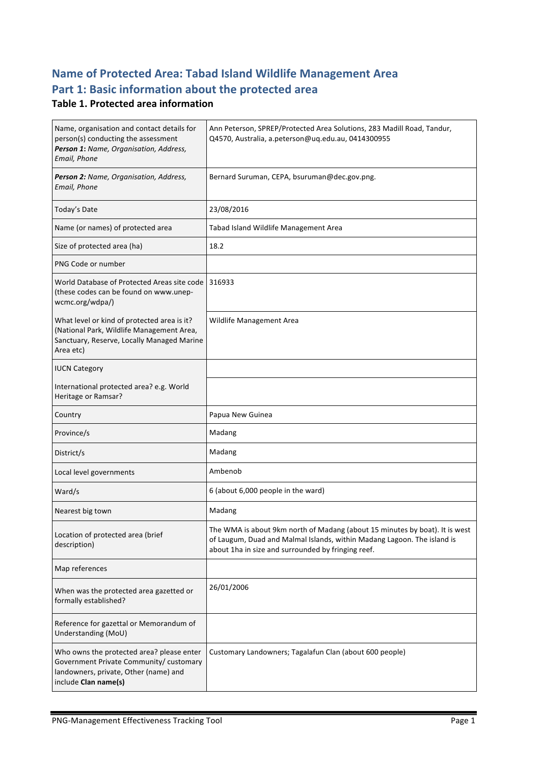# **Name of Protected Area: Tabad Island Wildlife Management Area** Part 1: Basic information about the protected area

## **Table 1. Protected area information**

| Name, organisation and contact details for<br>person(s) conducting the assessment<br>Person 1: Name, Organisation, Address,<br>Email, Phone           | Ann Peterson, SPREP/Protected Area Solutions, 283 Madill Road, Tandur,<br>Q4570, Australia, a.peterson@uq.edu.au, 0414300955                                                                                 |  |
|-------------------------------------------------------------------------------------------------------------------------------------------------------|--------------------------------------------------------------------------------------------------------------------------------------------------------------------------------------------------------------|--|
| Person 2: Name, Organisation, Address,<br>Email, Phone                                                                                                | Bernard Suruman, CEPA, bsuruman@dec.gov.png.                                                                                                                                                                 |  |
| Today's Date                                                                                                                                          | 23/08/2016                                                                                                                                                                                                   |  |
| Name (or names) of protected area                                                                                                                     | Tabad Island Wildlife Management Area                                                                                                                                                                        |  |
| Size of protected area (ha)                                                                                                                           | 18.2                                                                                                                                                                                                         |  |
| PNG Code or number                                                                                                                                    |                                                                                                                                                                                                              |  |
| World Database of Protected Areas site code<br>(these codes can be found on www.unep-<br>wcmc.org/wdpa/)                                              | 316933                                                                                                                                                                                                       |  |
| What level or kind of protected area is it?<br>(National Park, Wildlife Management Area,<br>Sanctuary, Reserve, Locally Managed Marine<br>Area etc)   | Wildlife Management Area                                                                                                                                                                                     |  |
| <b>IUCN Category</b>                                                                                                                                  |                                                                                                                                                                                                              |  |
| International protected area? e.g. World<br>Heritage or Ramsar?                                                                                       |                                                                                                                                                                                                              |  |
| Country                                                                                                                                               | Papua New Guinea                                                                                                                                                                                             |  |
| Province/s                                                                                                                                            | Madang                                                                                                                                                                                                       |  |
| District/s                                                                                                                                            | Madang                                                                                                                                                                                                       |  |
| Local level governments                                                                                                                               | Ambenob                                                                                                                                                                                                      |  |
| Ward/s                                                                                                                                                | 6 (about 6,000 people in the ward)                                                                                                                                                                           |  |
| Nearest big town                                                                                                                                      | Madang                                                                                                                                                                                                       |  |
| Location of protected area (brief<br>description)                                                                                                     | The WMA is about 9km north of Madang (about 15 minutes by boat). It is west<br>of Laugum, Duad and Malmal Islands, within Madang Lagoon. The island is<br>about 1ha in size and surrounded by fringing reef. |  |
| Map references                                                                                                                                        |                                                                                                                                                                                                              |  |
| When was the protected area gazetted or<br>formally established?                                                                                      | 26/01/2006                                                                                                                                                                                                   |  |
| Reference for gazettal or Memorandum of<br>Understanding (MoU)                                                                                        |                                                                                                                                                                                                              |  |
| Who owns the protected area? please enter<br>Government Private Community/ customary<br>landowners, private, Other (name) and<br>include Clan name(s) | Customary Landowners; Tagalafun Clan (about 600 people)                                                                                                                                                      |  |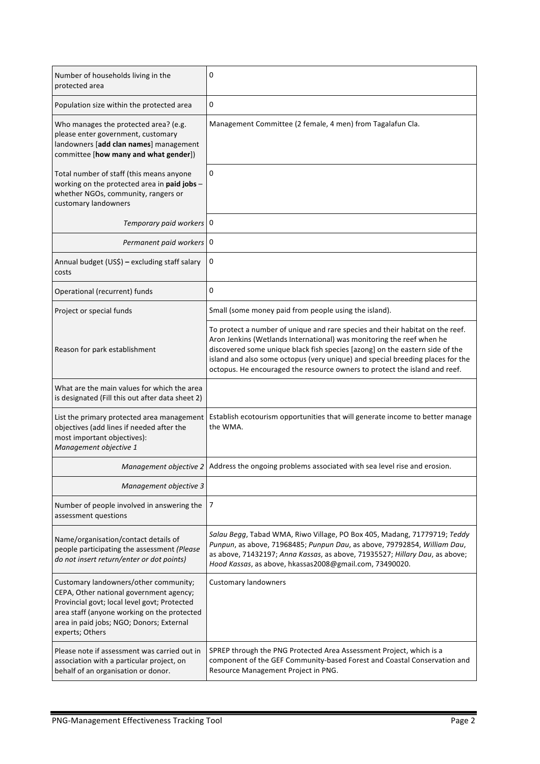| Number of households living in the<br>protected area                                                                                                                                                                                           | 0                                                                                                                                                                                                                                                                                                                                                                                                      |
|------------------------------------------------------------------------------------------------------------------------------------------------------------------------------------------------------------------------------------------------|--------------------------------------------------------------------------------------------------------------------------------------------------------------------------------------------------------------------------------------------------------------------------------------------------------------------------------------------------------------------------------------------------------|
| Population size within the protected area                                                                                                                                                                                                      | 0                                                                                                                                                                                                                                                                                                                                                                                                      |
| Who manages the protected area? (e.g.<br>please enter government, customary<br>landowners [add clan names] management<br>committee [how many and what gender])                                                                                 | Management Committee (2 female, 4 men) from Tagalafun Cla.                                                                                                                                                                                                                                                                                                                                             |
| Total number of staff (this means anyone<br>working on the protected area in paid jobs -<br>whether NGOs, community, rangers or<br>customary landowners                                                                                        | 0                                                                                                                                                                                                                                                                                                                                                                                                      |
| Temporary paid workers 0                                                                                                                                                                                                                       |                                                                                                                                                                                                                                                                                                                                                                                                        |
| Permanent paid workers   0                                                                                                                                                                                                                     |                                                                                                                                                                                                                                                                                                                                                                                                        |
| Annual budget (US\$) - excluding staff salary<br>costs                                                                                                                                                                                         | 0                                                                                                                                                                                                                                                                                                                                                                                                      |
| Operational (recurrent) funds                                                                                                                                                                                                                  | 0                                                                                                                                                                                                                                                                                                                                                                                                      |
| Project or special funds                                                                                                                                                                                                                       | Small (some money paid from people using the island).                                                                                                                                                                                                                                                                                                                                                  |
| Reason for park establishment                                                                                                                                                                                                                  | To protect a number of unique and rare species and their habitat on the reef.<br>Aron Jenkins (Wetlands International) was monitoring the reef when he<br>discovered some unique black fish species [azong] on the eastern side of the<br>island and also some octopus (very unique) and special breeding places for the<br>octopus. He encouraged the resource owners to protect the island and reef. |
| What are the main values for which the area<br>is designated (Fill this out after data sheet 2)                                                                                                                                                |                                                                                                                                                                                                                                                                                                                                                                                                        |
| List the primary protected area management<br>objectives (add lines if needed after the<br>most important objectives):<br>Management objective 1                                                                                               | Establish ecotourism opportunities that will generate income to better manage<br>the WMA.                                                                                                                                                                                                                                                                                                              |
|                                                                                                                                                                                                                                                | Management objective $2$ Address the ongoing problems associated with sea level rise and erosion.                                                                                                                                                                                                                                                                                                      |
| Management objective 3                                                                                                                                                                                                                         |                                                                                                                                                                                                                                                                                                                                                                                                        |
| Number of people involved in answering the<br>assessment questions                                                                                                                                                                             | 7                                                                                                                                                                                                                                                                                                                                                                                                      |
| Name/organisation/contact details of<br>people participating the assessment (Please<br>do not insert return/enter or dot points)                                                                                                               | Salau Begg, Tabad WMA, Riwo Village, PO Box 405, Madang, 71779719; Teddy<br>Punpun, as above, 71968485; Punpun Dau, as above, 79792854, William Dau,<br>as above, 71432197; Anna Kassas, as above, 71935527; Hillary Dau, as above;<br>Hood Kassas, as above, hkassas2008@gmail.com, 73490020.                                                                                                         |
| Customary landowners/other community;<br>CEPA, Other national government agency;<br>Provincial govt; local level govt; Protected<br>area staff (anyone working on the protected<br>area in paid jobs; NGO; Donors; External<br>experts; Others | <b>Customary landowners</b>                                                                                                                                                                                                                                                                                                                                                                            |
| Please note if assessment was carried out in<br>association with a particular project, on<br>behalf of an organisation or donor.                                                                                                               | SPREP through the PNG Protected Area Assessment Project, which is a<br>component of the GEF Community-based Forest and Coastal Conservation and<br>Resource Management Project in PNG.                                                                                                                                                                                                                 |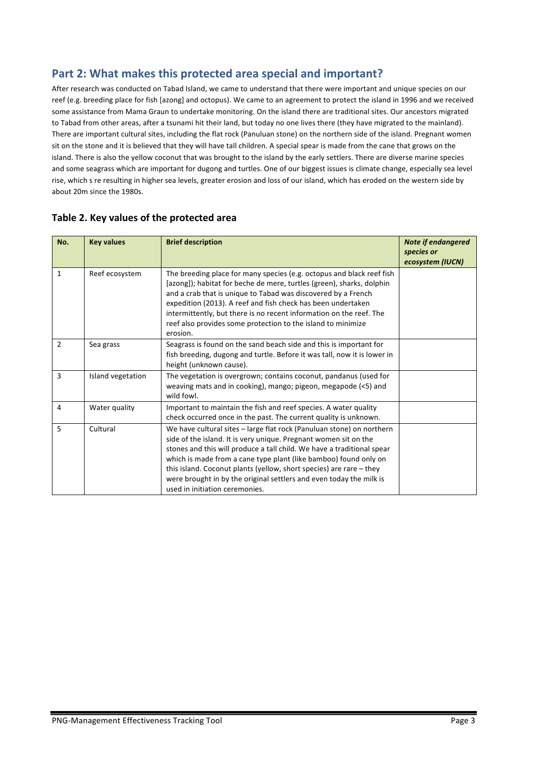# Part 2: What makes this protected area special and important?

After research was conducted on Tabad Island, we came to understand that there were important and unique species on our reef (e.g. breeding place for fish [azong] and octopus). We came to an agreement to protect the island in 1996 and we received some assistance from Mama Graun to undertake monitoring. On the island there are traditional sites. Our ancestors migrated to Tabad from other areas, after a tsunami hit their land, but today no one lives there (they have migrated to the mainland). There are important cultural sites, including the flat rock (Panuluan stone) on the northern side of the island. Pregnant women sit on the stone and it is believed that they will have tall children. A special spear is made from the cane that grows on the island. There is also the yellow coconut that was brought to the island by the early settlers. There are diverse marine species and some seagrass which are important for dugong and turtles. One of our biggest issues is climate change, especially sea level rise, which s re resulting in higher sea levels, greater erosion and loss of our island, which has eroded on the western side by about 20m since the 1980s.

| No.          | <b>Key values</b> | <b>Brief description</b>                                                                                                                                                                                                                                                                                                                                                                                                                                                  | <b>Note if endangered</b><br>species or<br>ecosystem (IUCN) |
|--------------|-------------------|---------------------------------------------------------------------------------------------------------------------------------------------------------------------------------------------------------------------------------------------------------------------------------------------------------------------------------------------------------------------------------------------------------------------------------------------------------------------------|-------------------------------------------------------------|
| $\mathbf{1}$ | Reef ecosystem    | The breeding place for many species (e.g. octopus and black reef fish<br>[azong]); habitat for beche de mere, turtles (green), sharks, dolphin<br>and a crab that is unique to Tabad was discovered by a French<br>expedition (2013). A reef and fish check has been undertaken<br>intermittently, but there is no recent information on the reef. The<br>reef also provides some protection to the island to minimize<br>erosion.                                        |                                                             |
| 2            | Sea grass         | Seagrass is found on the sand beach side and this is important for<br>fish breeding, dugong and turtle. Before it was tall, now it is lower in<br>height (unknown cause).                                                                                                                                                                                                                                                                                                 |                                                             |
| 3            | Island vegetation | The vegetation is overgrown; contains coconut, pandanus (used for<br>weaving mats and in cooking), mango; pigeon, megapode (<5) and<br>wild fowl.                                                                                                                                                                                                                                                                                                                         |                                                             |
| 4            | Water quality     | Important to maintain the fish and reef species. A water quality<br>check occurred once in the past. The current quality is unknown.                                                                                                                                                                                                                                                                                                                                      |                                                             |
| 5            | Cultural          | We have cultural sites - large flat rock (Panuluan stone) on northern<br>side of the island. It is very unique. Pregnant women sit on the<br>stones and this will produce a tall child. We have a traditional spear<br>which is made from a cane type plant (like bamboo) found only on<br>this island. Coconut plants (yellow, short species) are rare $-$ they<br>were brought in by the original settlers and even today the milk is<br>used in initiation ceremonies. |                                                             |

### Table 2. Key values of the protected area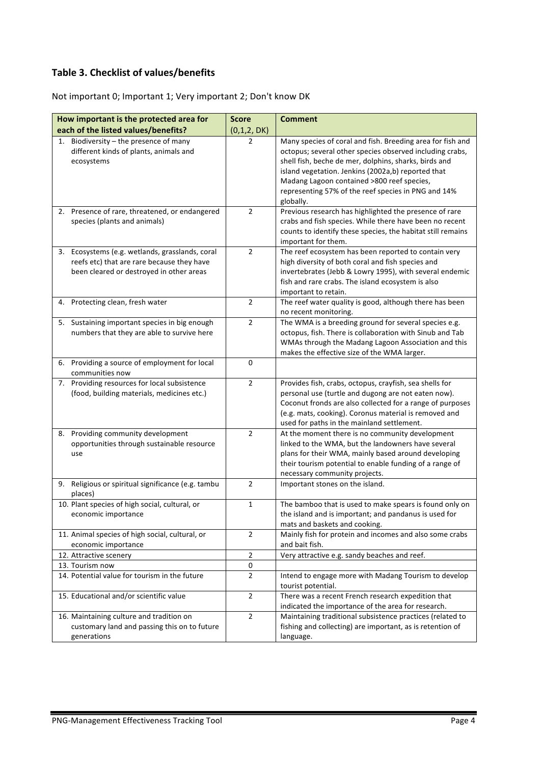## **Table 3. Checklist of values/benefits**

Not important 0; Important 1; Very important 2; Don't know DK

| How important is the protected area for                                                                                                   | <b>Score</b>        | <b>Comment</b>                                                                                                                                                                                                                                                                      |
|-------------------------------------------------------------------------------------------------------------------------------------------|---------------------|-------------------------------------------------------------------------------------------------------------------------------------------------------------------------------------------------------------------------------------------------------------------------------------|
| each of the listed values/benefits?                                                                                                       | (0,1,2, DK)         |                                                                                                                                                                                                                                                                                     |
| Biodiversity - the presence of many<br>1.<br>different kinds of plants, animals and<br>ecosystems                                         | 2                   | Many species of coral and fish. Breeding area for fish and<br>octopus; several other species observed including crabs,<br>shell fish, beche de mer, dolphins, sharks, birds and<br>island vegetation. Jenkins (2002a,b) reported that<br>Madang Lagoon contained >800 reef species, |
|                                                                                                                                           |                     | representing 57% of the reef species in PNG and 14%<br>globally.                                                                                                                                                                                                                    |
| 2. Presence of rare, threatened, or endangered<br>species (plants and animals)                                                            | $\overline{2}$      | Previous research has highlighted the presence of rare<br>crabs and fish species. While there have been no recent<br>counts to identify these species, the habitat still remains<br>important for them.                                                                             |
| 3. Ecosystems (e.g. wetlands, grasslands, coral<br>reefs etc) that are rare because they have<br>been cleared or destroyed in other areas | $\overline{2}$      | The reef ecosystem has been reported to contain very<br>high diversity of both coral and fish species and<br>invertebrates (Jebb & Lowry 1995), with several endemic<br>fish and rare crabs. The island ecosystem is also<br>important to retain.                                   |
| 4. Protecting clean, fresh water                                                                                                          | $\overline{2}$      | The reef water quality is good, although there has been<br>no recent monitoring.                                                                                                                                                                                                    |
| 5. Sustaining important species in big enough<br>numbers that they are able to survive here                                               | $\overline{2}$      | The WMA is a breeding ground for several species e.g.<br>octopus, fish. There is collaboration with Sinub and Tab<br>WMAs through the Madang Lagoon Association and this<br>makes the effective size of the WMA larger.                                                             |
| 6. Providing a source of employment for local<br>communities now                                                                          | $\mathbf 0$         |                                                                                                                                                                                                                                                                                     |
| 7. Providing resources for local subsistence<br>(food, building materials, medicines etc.)                                                | $\overline{2}$      | Provides fish, crabs, octopus, crayfish, sea shells for<br>personal use (turtle and dugong are not eaten now).<br>Coconut fronds are also collected for a range of purposes<br>(e.g. mats, cooking). Coronus material is removed and<br>used for paths in the mainland settlement.  |
| 8. Providing community development<br>opportunities through sustainable resource<br>use                                                   | $\overline{2}$      | At the moment there is no community development<br>linked to the WMA, but the landowners have several<br>plans for their WMA, mainly based around developing<br>their tourism potential to enable funding of a range of<br>necessary community projects.                            |
| Religious or spiritual significance (e.g. tambu<br>9.<br>places)                                                                          | $\overline{2}$      | Important stones on the island.                                                                                                                                                                                                                                                     |
| 10. Plant species of high social, cultural, or<br>economic importance                                                                     | 1                   | The bamboo that is used to make spears is found only on<br>the island and is important; and pandanus is used for<br>mats and baskets and cooking.                                                                                                                                   |
| 11. Animal species of high social, cultural, or<br>economic importance                                                                    | $\overline{2}$      | Mainly fish for protein and incomes and also some crabs<br>and bait fish.                                                                                                                                                                                                           |
| 12. Attractive scenery                                                                                                                    | $\mathbf 2$         | Very attractive e.g. sandy beaches and reef.                                                                                                                                                                                                                                        |
| 13. Tourism now<br>14. Potential value for tourism in the future                                                                          | 0<br>$\overline{2}$ | Intend to engage more with Madang Tourism to develop<br>tourist potential.                                                                                                                                                                                                          |
| 15. Educational and/or scientific value                                                                                                   | $\overline{2}$      | There was a recent French research expedition that<br>indicated the importance of the area for research.                                                                                                                                                                            |
| 16. Maintaining culture and tradition on<br>customary land and passing this on to future<br>generations                                   | $\overline{2}$      | Maintaining traditional subsistence practices (related to<br>fishing and collecting) are important, as is retention of<br>language.                                                                                                                                                 |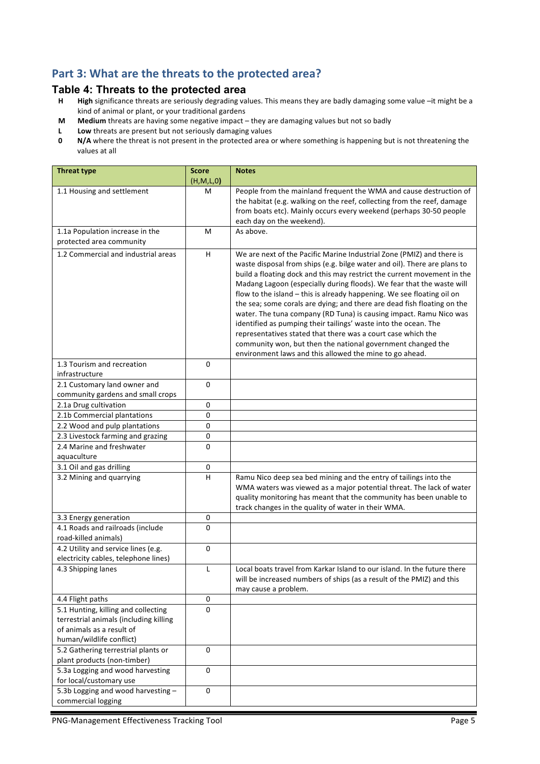# Part 3: What are the threats to the protected area?

# **Table 4: Threats to the protected area**<br>**H** High significance threats are seriously degrading va

- High significance threats are seriously degrading values. This means they are badly damaging some value -it might be a kind of animal or plant, or your traditional gardens
- **M** Medium threats are having some negative impact they are damaging values but not so badly
- **L** Low threats are present but not seriously damaging values<br>**0** N/A where the threat is not present in the protected area of
- **N/A** where the threat is not present in the protected area or where something is happening but is not threatening the values at all

| <b>Threat type</b>                                                                                                                     | <b>Score</b><br>(H, M, L, 0) | <b>Notes</b>                                                                                                                                                                                                                                                                                                                                                                                                                                                                                                                                                                                                                                                                                                                                                                                  |
|----------------------------------------------------------------------------------------------------------------------------------------|------------------------------|-----------------------------------------------------------------------------------------------------------------------------------------------------------------------------------------------------------------------------------------------------------------------------------------------------------------------------------------------------------------------------------------------------------------------------------------------------------------------------------------------------------------------------------------------------------------------------------------------------------------------------------------------------------------------------------------------------------------------------------------------------------------------------------------------|
| 1.1 Housing and settlement                                                                                                             | м                            | People from the mainland frequent the WMA and cause destruction of<br>the habitat (e.g. walking on the reef, collecting from the reef, damage<br>from boats etc). Mainly occurs every weekend (perhaps 30-50 people<br>each day on the weekend).                                                                                                                                                                                                                                                                                                                                                                                                                                                                                                                                              |
| 1.1a Population increase in the<br>protected area community                                                                            | м                            | As above.                                                                                                                                                                                                                                                                                                                                                                                                                                                                                                                                                                                                                                                                                                                                                                                     |
| 1.2 Commercial and industrial areas                                                                                                    | H                            | We are next of the Pacific Marine Industrial Zone (PMIZ) and there is<br>waste disposal from ships (e.g. bilge water and oil). There are plans to<br>build a floating dock and this may restrict the current movement in the<br>Madang Lagoon (especially during floods). We fear that the waste will<br>flow to the island - this is already happening. We see floating oil on<br>the sea; some corals are dying; and there are dead fish floating on the<br>water. The tuna company (RD Tuna) is causing impact. Ramu Nico was<br>identified as pumping their tailings' waste into the ocean. The<br>representatives stated that there was a court case which the<br>community won, but then the national government changed the<br>environment laws and this allowed the mine to go ahead. |
| 1.3 Tourism and recreation<br>infrastructure                                                                                           | 0                            |                                                                                                                                                                                                                                                                                                                                                                                                                                                                                                                                                                                                                                                                                                                                                                                               |
| 2.1 Customary land owner and<br>community gardens and small crops                                                                      | 0                            |                                                                                                                                                                                                                                                                                                                                                                                                                                                                                                                                                                                                                                                                                                                                                                                               |
| 2.1a Drug cultivation                                                                                                                  | 0                            |                                                                                                                                                                                                                                                                                                                                                                                                                                                                                                                                                                                                                                                                                                                                                                                               |
| 2.1b Commercial plantations                                                                                                            | 0                            |                                                                                                                                                                                                                                                                                                                                                                                                                                                                                                                                                                                                                                                                                                                                                                                               |
| 2.2 Wood and pulp plantations                                                                                                          | 0                            |                                                                                                                                                                                                                                                                                                                                                                                                                                                                                                                                                                                                                                                                                                                                                                                               |
| 2.3 Livestock farming and grazing                                                                                                      | 0                            |                                                                                                                                                                                                                                                                                                                                                                                                                                                                                                                                                                                                                                                                                                                                                                                               |
| 2.4 Marine and freshwater<br>aquaculture                                                                                               | 0                            |                                                                                                                                                                                                                                                                                                                                                                                                                                                                                                                                                                                                                                                                                                                                                                                               |
| 3.1 Oil and gas drilling                                                                                                               | $\pmb{0}$                    |                                                                                                                                                                                                                                                                                                                                                                                                                                                                                                                                                                                                                                                                                                                                                                                               |
| 3.2 Mining and quarrying                                                                                                               | $\overline{H}$               | Ramu Nico deep sea bed mining and the entry of tailings into the<br>WMA waters was viewed as a major potential threat. The lack of water<br>quality monitoring has meant that the community has been unable to<br>track changes in the quality of water in their WMA.                                                                                                                                                                                                                                                                                                                                                                                                                                                                                                                         |
| 3.3 Energy generation                                                                                                                  | 0                            |                                                                                                                                                                                                                                                                                                                                                                                                                                                                                                                                                                                                                                                                                                                                                                                               |
| 4.1 Roads and railroads (include<br>road-killed animals)                                                                               | 0                            |                                                                                                                                                                                                                                                                                                                                                                                                                                                                                                                                                                                                                                                                                                                                                                                               |
| 4.2 Utility and service lines (e.g.<br>electricity cables, telephone lines)                                                            | 0                            |                                                                                                                                                                                                                                                                                                                                                                                                                                                                                                                                                                                                                                                                                                                                                                                               |
| 4.3 Shipping lanes                                                                                                                     | L                            | Local boats travel from Karkar Island to our island. In the future there<br>will be increased numbers of ships (as a result of the PMIZ) and this<br>may cause a problem.                                                                                                                                                                                                                                                                                                                                                                                                                                                                                                                                                                                                                     |
| 4.4 Flight paths                                                                                                                       | 0                            |                                                                                                                                                                                                                                                                                                                                                                                                                                                                                                                                                                                                                                                                                                                                                                                               |
| 5.1 Hunting, killing and collecting<br>terrestrial animals (including killing<br>of animals as a result of<br>human/wildlife conflict) | 0                            |                                                                                                                                                                                                                                                                                                                                                                                                                                                                                                                                                                                                                                                                                                                                                                                               |
| 5.2 Gathering terrestrial plants or<br>plant products (non-timber)                                                                     | $\mathbf 0$                  |                                                                                                                                                                                                                                                                                                                                                                                                                                                                                                                                                                                                                                                                                                                                                                                               |
| 5.3a Logging and wood harvesting<br>for local/customary use                                                                            | $\pmb{0}$                    |                                                                                                                                                                                                                                                                                                                                                                                                                                                                                                                                                                                                                                                                                                                                                                                               |
| 5.3b Logging and wood harvesting -<br>commercial logging                                                                               | 0                            |                                                                                                                                                                                                                                                                                                                                                                                                                                                                                                                                                                                                                                                                                                                                                                                               |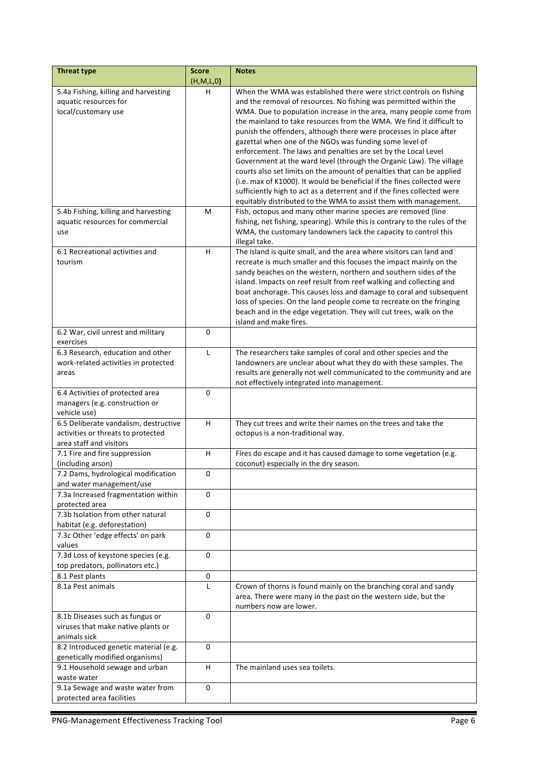| <b>Threat type</b>                                                | <b>Score</b> | <b>Notes</b>                                                                                                                               |
|-------------------------------------------------------------------|--------------|--------------------------------------------------------------------------------------------------------------------------------------------|
|                                                                   | (H,M,L,0)    |                                                                                                                                            |
| 5.4a Fishing, killing and harvesting                              | н            | When the WMA was established there were strict controls on fishing                                                                         |
| aquatic resources for                                             |              | and the removal of resources. No fishing was permitted within the                                                                          |
| local/customary use                                               |              | WMA. Due to population increase in the area, many people come from                                                                         |
|                                                                   |              | the mainland to take resources from the WMA. We find it difficult to                                                                       |
|                                                                   |              | punish the offenders, although there were processes in place after                                                                         |
|                                                                   |              | gazettal when one of the NGOs was funding some level of<br>enforcement. The laws and penalties are set by the Local Level                  |
|                                                                   |              | Government at the ward level (through the Organic Law). The village                                                                        |
|                                                                   |              | courts also set limits on the amount of penalties that can be applied                                                                      |
|                                                                   |              | (i.e. max of K1000). It would be beneficial if the fines collected were                                                                    |
|                                                                   |              | sufficiently high to act as a deterrent and if the fines collected were                                                                    |
|                                                                   |              | equitably distributed to the WMA to assist them with management.                                                                           |
| 5.4b Fishing, killing and harvesting                              | м            | Fish, octopus and many other marine species are removed (line                                                                              |
| aquatic resources for commercial                                  |              | fishing, net fishing, spearing). While this is contrary to the rules of the                                                                |
| use                                                               |              | WMA, the customary landowners lack the capacity to control this                                                                            |
|                                                                   |              | illegal take.                                                                                                                              |
| 6.1 Recreational activities and                                   | н            | The island is quite small, and the area where visitors can land and                                                                        |
| tourism                                                           |              | recreate is much smaller and this focuses the impact mainly on the                                                                         |
|                                                                   |              | sandy beaches on the western, northern and southern sides of the                                                                           |
|                                                                   |              | island. Impacts on reef result from reef walking and collecting and                                                                        |
|                                                                   |              | boat anchorage. This causes loss and damage to coral and subsequent                                                                        |
|                                                                   |              | loss of species. On the land people come to recreate on the fringing<br>beach and in the edge vegetation. They will cut trees, walk on the |
|                                                                   |              | island and make fires.                                                                                                                     |
| 6.2 War, civil unrest and military                                | 0            |                                                                                                                                            |
| exercises                                                         |              |                                                                                                                                            |
| 6.3 Research, education and other                                 | L            | The researchers take samples of coral and other species and the                                                                            |
| work-related activities in protected                              |              | landowners are unclear about what they do with these samples. The                                                                          |
| areas                                                             |              | results are generally not well communicated to the community and are                                                                       |
|                                                                   |              | not effectively integrated into management.                                                                                                |
| 6.4 Activities of protected area                                  | 0            |                                                                                                                                            |
| managers (e.g. construction or                                    |              |                                                                                                                                            |
| vehicle use)<br>6.5 Deliberate vandalism, destructive             | H            | They cut trees and write their names on the trees and take the                                                                             |
| activities or threats to protected                                |              | octopus is a non-traditional way.                                                                                                          |
| area staff and visitors                                           |              |                                                                                                                                            |
| 7.1 Fire and fire suppression                                     | H            | Fires do escape and it has caused damage to some vegetation (e.g.                                                                          |
| (including arson)                                                 |              | coconut) especially in the dry season.                                                                                                     |
| 7.2 Dams, hydrological modification                               | 0            |                                                                                                                                            |
| and water management/use                                          |              |                                                                                                                                            |
| 7.3a Increased fragmentation within                               | $\Omega$     |                                                                                                                                            |
| protected area                                                    |              |                                                                                                                                            |
| 7.3b Isolation from other natural                                 | 0            |                                                                                                                                            |
| habitat (e.g. deforestation)                                      |              |                                                                                                                                            |
| 7.3c Other 'edge effects' on park<br>values                       | 0            |                                                                                                                                            |
| 7.3d Loss of keystone species (e.g.                               | 0            |                                                                                                                                            |
| top predators, pollinators etc.)                                  |              |                                                                                                                                            |
| 8.1 Pest plants                                                   | 0            |                                                                                                                                            |
| 8.1a Pest animals                                                 | L            | Crown of thorns is found mainly on the branching coral and sandy                                                                           |
|                                                                   |              | area. There were many in the past on the western side, but the                                                                             |
|                                                                   |              | numbers now are lower.                                                                                                                     |
| 8.1b Diseases such as fungus or                                   | 0            |                                                                                                                                            |
| viruses that make native plants or                                |              |                                                                                                                                            |
| animals sick                                                      |              |                                                                                                                                            |
| 8.2 Introduced genetic material (e.g.                             | 0            |                                                                                                                                            |
| genetically modified organisms)<br>9.1 Household sewage and urban | H.           | The mainland uses sea toilets.                                                                                                             |
| waste water                                                       |              |                                                                                                                                            |
| 9.1a Sewage and waste water from                                  | 0            |                                                                                                                                            |
| protected area facilities                                         |              |                                                                                                                                            |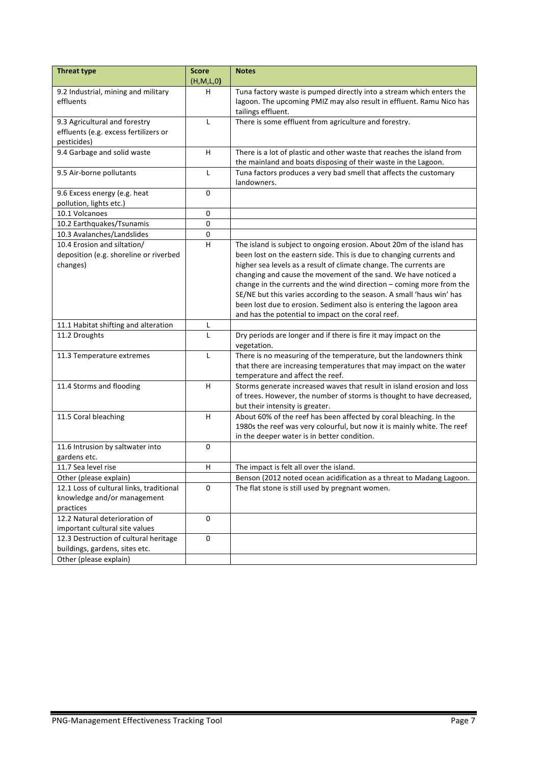| <b>Threat type</b>                       | <b>Score</b>              | <b>Notes</b>                                                                                            |
|------------------------------------------|---------------------------|---------------------------------------------------------------------------------------------------------|
|                                          | (H,M,L,0)                 |                                                                                                         |
| 9.2 Industrial, mining and military      | н                         | Tuna factory waste is pumped directly into a stream which enters the                                    |
| effluents                                |                           | lagoon. The upcoming PMIZ may also result in effluent. Ramu Nico has                                    |
|                                          |                           | tailings effluent.                                                                                      |
| 9.3 Agricultural and forestry            | L                         | There is some effluent from agriculture and forestry.                                                   |
| effluents (e.g. excess fertilizers or    |                           |                                                                                                         |
| pesticides)                              |                           |                                                                                                         |
| 9.4 Garbage and solid waste              | H                         | There is a lot of plastic and other waste that reaches the island from                                  |
|                                          |                           | the mainland and boats disposing of their waste in the Lagoon.                                          |
| 9.5 Air-borne pollutants                 | L                         | Tuna factors produces a very bad smell that affects the customary                                       |
|                                          |                           | landowners.                                                                                             |
| 9.6 Excess energy (e.g. heat             | 0                         |                                                                                                         |
| pollution, lights etc.)                  |                           |                                                                                                         |
| 10.1 Volcanoes                           | $\pmb{0}$                 |                                                                                                         |
| 10.2 Earthquakes/Tsunamis                | 0                         |                                                                                                         |
| 10.3 Avalanches/Landslides               | $\pmb{0}$                 |                                                                                                         |
| 10.4 Erosion and siltation/              | $\overline{H}$            | The island is subject to ongoing erosion. About 20m of the island has                                   |
| deposition (e.g. shoreline or riverbed   |                           | been lost on the eastern side. This is due to changing currents and                                     |
| changes)                                 |                           | higher sea levels as a result of climate change. The currents are                                       |
|                                          |                           | changing and cause the movement of the sand. We have noticed a                                          |
|                                          |                           | change in the currents and the wind direction $-$ coming more from the                                  |
|                                          |                           | SE/NE but this varies according to the season. A small 'haus win' has                                   |
|                                          |                           | been lost due to erosion. Sediment also is entering the lagoon area                                     |
|                                          |                           | and has the potential to impact on the coral reef.                                                      |
| 11.1 Habitat shifting and alteration     | Г                         |                                                                                                         |
| 11.2 Droughts                            | L                         | Dry periods are longer and if there is fire it may impact on the                                        |
|                                          |                           | vegetation.                                                                                             |
| 11.3 Temperature extremes                | L                         | There is no measuring of the temperature, but the landowners think                                      |
|                                          |                           | that there are increasing temperatures that may impact on the water<br>temperature and affect the reef. |
| 11.4 Storms and flooding                 | $\boldsymbol{\mathsf{H}}$ | Storms generate increased waves that result in island erosion and loss                                  |
|                                          |                           | of trees. However, the number of storms is thought to have decreased,                                   |
|                                          |                           | but their intensity is greater.                                                                         |
| 11.5 Coral bleaching                     | H                         | About 60% of the reef has been affected by coral bleaching. In the                                      |
|                                          |                           | 1980s the reef was very colourful, but now it is mainly white. The reef                                 |
|                                          |                           | in the deeper water is in better condition.                                                             |
| 11.6 Intrusion by saltwater into         | $\mathbf 0$               |                                                                                                         |
| gardens etc.                             |                           |                                                                                                         |
| 11.7 Sea level rise                      | н                         | The impact is felt all over the island.                                                                 |
| Other (please explain)                   |                           | Benson (2012 noted ocean acidification as a threat to Madang Lagoon.                                    |
| 12.1 Loss of cultural links, traditional | 0                         | The flat stone is still used by pregnant women.                                                         |
| knowledge and/or management              |                           |                                                                                                         |
| practices                                |                           |                                                                                                         |
| 12.2 Natural deterioration of            | 0                         |                                                                                                         |
| important cultural site values           |                           |                                                                                                         |
| 12.3 Destruction of cultural heritage    | 0                         |                                                                                                         |
| buildings, gardens, sites etc.           |                           |                                                                                                         |
| Other (please explain)                   |                           |                                                                                                         |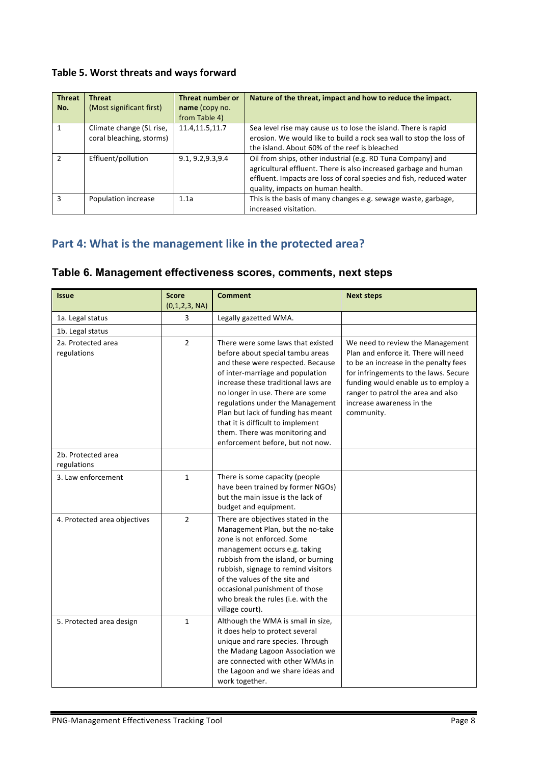## Table 5. Worst threats and ways forward

| <b>Threat</b><br>No. | <b>Threat</b><br>(Most significant first)            | <b>Threat number or</b><br>name (copy no.<br>from Table 4) | Nature of the threat, impact and how to reduce the impact.                                                                                                                                                                                  |
|----------------------|------------------------------------------------------|------------------------------------------------------------|---------------------------------------------------------------------------------------------------------------------------------------------------------------------------------------------------------------------------------------------|
|                      | Climate change (SL rise,<br>coral bleaching, storms) | 11.4, 11.5, 11.7                                           | Sea level rise may cause us to lose the island. There is rapid<br>erosion. We would like to build a rock sea wall to stop the loss of<br>the island. About 60% of the reef is bleached                                                      |
| $\mathcal{P}$        | Effluent/pollution                                   | 9.1, 9.2, 9.3, 9.4                                         | Oil from ships, other industrial (e.g. RD Tuna Company) and<br>agricultural effluent. There is also increased garbage and human<br>effluent. Impacts are loss of coral species and fish, reduced water<br>quality, impacts on human health. |
| 3                    | Population increase                                  | 1.1a                                                       | This is the basis of many changes e.g. sewage waste, garbage,<br>increased visitation.                                                                                                                                                      |

## Part 4: What is the management like in the protected area?

## **Table 6. Management effectiveness scores, comments, next steps**

| <b>Issue</b>                      | <b>Score</b>   | <b>Comment</b>                                                                                                                                                                                                                                                                                                                                                                                                 | <b>Next steps</b>                                                                                                                                                                                                                                                                  |
|-----------------------------------|----------------|----------------------------------------------------------------------------------------------------------------------------------------------------------------------------------------------------------------------------------------------------------------------------------------------------------------------------------------------------------------------------------------------------------------|------------------------------------------------------------------------------------------------------------------------------------------------------------------------------------------------------------------------------------------------------------------------------------|
|                                   | (0,1,2,3, NA)  |                                                                                                                                                                                                                                                                                                                                                                                                                |                                                                                                                                                                                                                                                                                    |
| 1a. Legal status                  | 3              | Legally gazetted WMA.                                                                                                                                                                                                                                                                                                                                                                                          |                                                                                                                                                                                                                                                                                    |
| 1b. Legal status                  |                |                                                                                                                                                                                                                                                                                                                                                                                                                |                                                                                                                                                                                                                                                                                    |
| 2a. Protected area<br>regulations | $\overline{2}$ | There were some laws that existed<br>before about special tambu areas<br>and these were respected. Because<br>of inter-marriage and population<br>increase these traditional laws are<br>no longer in use. There are some<br>regulations under the Management<br>Plan but lack of funding has meant<br>that it is difficult to implement<br>them. There was monitoring and<br>enforcement before, but not now. | We need to review the Management<br>Plan and enforce it. There will need<br>to be an increase in the penalty fees<br>for infringements to the laws. Secure<br>funding would enable us to employ a<br>ranger to patrol the area and also<br>increase awareness in the<br>community. |
| 2b. Protected area<br>regulations |                |                                                                                                                                                                                                                                                                                                                                                                                                                |                                                                                                                                                                                                                                                                                    |
| 3. Law enforcement                | $\mathbf{1}$   | There is some capacity (people<br>have been trained by former NGOs)<br>but the main issue is the lack of<br>budget and equipment.                                                                                                                                                                                                                                                                              |                                                                                                                                                                                                                                                                                    |
| 4. Protected area objectives      | $\overline{2}$ | There are objectives stated in the<br>Management Plan, but the no-take<br>zone is not enforced. Some<br>management occurs e.g. taking<br>rubbish from the island, or burning<br>rubbish, signage to remind visitors<br>of the values of the site and<br>occasional punishment of those<br>who break the rules (i.e. with the<br>village court).                                                                |                                                                                                                                                                                                                                                                                    |
| 5. Protected area design          | $\mathbf{1}$   | Although the WMA is small in size,<br>it does help to protect several<br>unique and rare species. Through<br>the Madang Lagoon Association we<br>are connected with other WMAs in<br>the Lagoon and we share ideas and<br>work together.                                                                                                                                                                       |                                                                                                                                                                                                                                                                                    |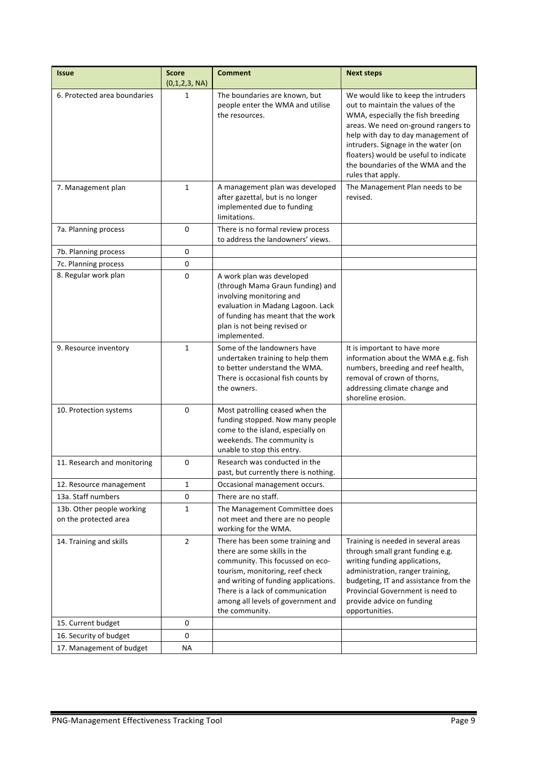| <b>Issue</b>                                       | <b>Score</b><br>(0,1,2,3, NA) | <b>Comment</b>                                                                                                                                                                                                                                                              | <b>Next steps</b>                                                                                                                                                                                                                                                                                                                    |
|----------------------------------------------------|-------------------------------|-----------------------------------------------------------------------------------------------------------------------------------------------------------------------------------------------------------------------------------------------------------------------------|--------------------------------------------------------------------------------------------------------------------------------------------------------------------------------------------------------------------------------------------------------------------------------------------------------------------------------------|
| 6. Protected area boundaries                       | 1                             | The boundaries are known, but<br>people enter the WMA and utilise<br>the resources.                                                                                                                                                                                         | We would like to keep the intruders<br>out to maintain the values of the<br>WMA, especially the fish breeding<br>areas. We need on-ground rangers to<br>help with day to day management of<br>intruders. Signage in the water (on<br>floaters) would be useful to indicate<br>the boundaries of the WMA and the<br>rules that apply. |
| 7. Management plan                                 | 1                             | A management plan was developed<br>after gazettal, but is no longer<br>implemented due to funding<br>limitations.                                                                                                                                                           | The Management Plan needs to be<br>revised.                                                                                                                                                                                                                                                                                          |
| 7a. Planning process                               | 0                             | There is no formal review process<br>to address the landowners' views.                                                                                                                                                                                                      |                                                                                                                                                                                                                                                                                                                                      |
| 7b. Planning process                               | 0                             |                                                                                                                                                                                                                                                                             |                                                                                                                                                                                                                                                                                                                                      |
| 7c. Planning process                               | 0                             |                                                                                                                                                                                                                                                                             |                                                                                                                                                                                                                                                                                                                                      |
| 8. Regular work plan                               | $\Omega$                      | A work plan was developed<br>(through Mama Graun funding) and<br>involving monitoring and<br>evaluation in Madang Lagoon. Lack<br>of funding has meant that the work<br>plan is not being revised or<br>implemented.                                                        |                                                                                                                                                                                                                                                                                                                                      |
| 9. Resource inventory                              | 1                             | Some of the landowners have<br>undertaken training to help them<br>to better understand the WMA.<br>There is occasional fish counts by<br>the owners.                                                                                                                       | It is important to have more<br>information about the WMA e.g. fish<br>numbers, breeding and reef health,<br>removal of crown of thorns,<br>addressing climate change and<br>shoreline erosion.                                                                                                                                      |
| 10. Protection systems                             | 0                             | Most patrolling ceased when the<br>funding stopped. Now many people<br>come to the island, especially on<br>weekends. The community is<br>unable to stop this entry.                                                                                                        |                                                                                                                                                                                                                                                                                                                                      |
| 11. Research and monitoring                        | 0                             | Research was conducted in the<br>past, but currently there is nothing.                                                                                                                                                                                                      |                                                                                                                                                                                                                                                                                                                                      |
| 12. Resource management                            | 1                             | Occasional management occurs.                                                                                                                                                                                                                                               |                                                                                                                                                                                                                                                                                                                                      |
| 13a. Staff numbers                                 | 0                             | There are no staff.                                                                                                                                                                                                                                                         |                                                                                                                                                                                                                                                                                                                                      |
| 13b. Other people working<br>on the protected area | $\mathbf{1}$                  | The Management Committee does<br>not meet and there are no people<br>working for the WMA.                                                                                                                                                                                   |                                                                                                                                                                                                                                                                                                                                      |
| 14. Training and skills                            | $\overline{2}$                | There has been some training and<br>there are some skills in the<br>community. This focussed on eco-<br>tourism, monitoring, reef check<br>and writing of funding applications.<br>There is a lack of communication<br>among all levels of government and<br>the community. | Training is needed in several areas<br>through small grant funding e.g.<br>writing funding applications,<br>administration, ranger training,<br>budgeting, IT and assistance from the<br>Provincial Government is need to<br>provide advice on funding<br>opportunities.                                                             |
| 15. Current budget                                 | 0                             |                                                                                                                                                                                                                                                                             |                                                                                                                                                                                                                                                                                                                                      |
| 16. Security of budget                             | 0                             |                                                                                                                                                                                                                                                                             |                                                                                                                                                                                                                                                                                                                                      |
| 17. Management of budget                           | <b>NA</b>                     |                                                                                                                                                                                                                                                                             |                                                                                                                                                                                                                                                                                                                                      |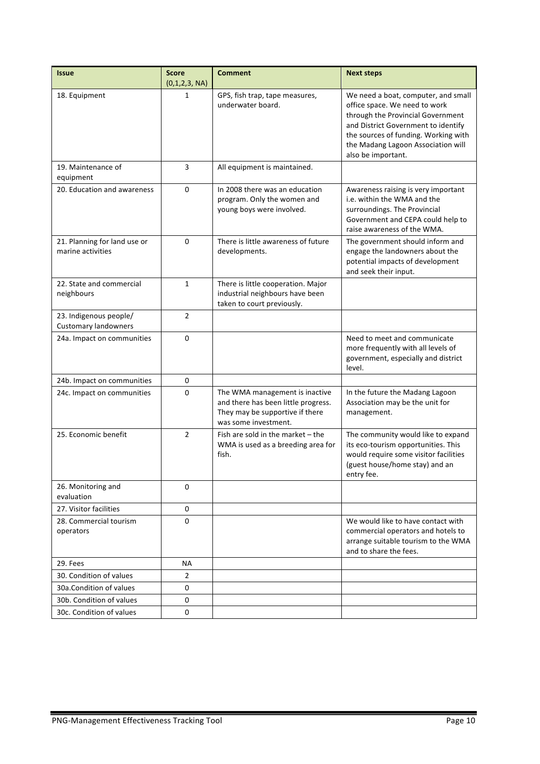| <b>Issue</b>                                          | <b>Score</b><br>(0,1,2,3, NA) | <b>Comment</b>                                                                                                                   | <b>Next steps</b>                                                                                                                                                                                                                                    |
|-------------------------------------------------------|-------------------------------|----------------------------------------------------------------------------------------------------------------------------------|------------------------------------------------------------------------------------------------------------------------------------------------------------------------------------------------------------------------------------------------------|
| 18. Equipment                                         | 1                             | GPS, fish trap, tape measures,<br>underwater board.                                                                              | We need a boat, computer, and small<br>office space. We need to work<br>through the Provincial Government<br>and District Government to identify<br>the sources of funding. Working with<br>the Madang Lagoon Association will<br>also be important. |
| 19. Maintenance of<br>equipment                       | 3                             | All equipment is maintained.                                                                                                     |                                                                                                                                                                                                                                                      |
| 20. Education and awareness                           | 0                             | In 2008 there was an education<br>program. Only the women and<br>young boys were involved.                                       | Awareness raising is very important<br>i.e. within the WMA and the<br>surroundings. The Provincial<br>Government and CEPA could help to<br>raise awareness of the WMA.                                                                               |
| 21. Planning for land use or<br>marine activities     | 0                             | There is little awareness of future<br>developments.                                                                             | The government should inform and<br>engage the landowners about the<br>potential impacts of development<br>and seek their input.                                                                                                                     |
| 22. State and commercial<br>neighbours                | $\mathbf{1}$                  | There is little cooperation. Major<br>industrial neighbours have been<br>taken to court previously.                              |                                                                                                                                                                                                                                                      |
| 23. Indigenous people/<br><b>Customary landowners</b> | 2                             |                                                                                                                                  |                                                                                                                                                                                                                                                      |
| 24a. Impact on communities                            | 0                             |                                                                                                                                  | Need to meet and communicate<br>more frequently with all levels of<br>government, especially and district<br>level.                                                                                                                                  |
| 24b. Impact on communities                            | 0                             |                                                                                                                                  |                                                                                                                                                                                                                                                      |
| 24c. Impact on communities                            | 0                             | The WMA management is inactive<br>and there has been little progress.<br>They may be supportive if there<br>was some investment. | In the future the Madang Lagoon<br>Association may be the unit for<br>management.                                                                                                                                                                    |
| 25. Economic benefit                                  | $\overline{2}$                | Fish are sold in the market $-$ the<br>WMA is used as a breeding area for<br>fish.                                               | The community would like to expand<br>its eco-tourism opportunities. This<br>would require some visitor facilities<br>(guest house/home stay) and an<br>entry fee.                                                                                   |
| 26. Monitoring and<br>evaluation                      | 0                             |                                                                                                                                  |                                                                                                                                                                                                                                                      |
| 27. Visitor facilities                                | 0                             |                                                                                                                                  |                                                                                                                                                                                                                                                      |
| 28. Commercial tourism<br>operators                   | $\Omega$                      |                                                                                                                                  | We would like to have contact with<br>commercial operators and hotels to<br>arrange suitable tourism to the WMA<br>and to share the fees.                                                                                                            |
| 29. Fees                                              | ΝA                            |                                                                                                                                  |                                                                                                                                                                                                                                                      |
| 30. Condition of values                               | $\overline{2}$                |                                                                                                                                  |                                                                                                                                                                                                                                                      |
| 30a. Condition of values                              | 0                             |                                                                                                                                  |                                                                                                                                                                                                                                                      |
| 30b. Condition of values                              | 0                             |                                                                                                                                  |                                                                                                                                                                                                                                                      |
| 30c. Condition of values                              | 0                             |                                                                                                                                  |                                                                                                                                                                                                                                                      |